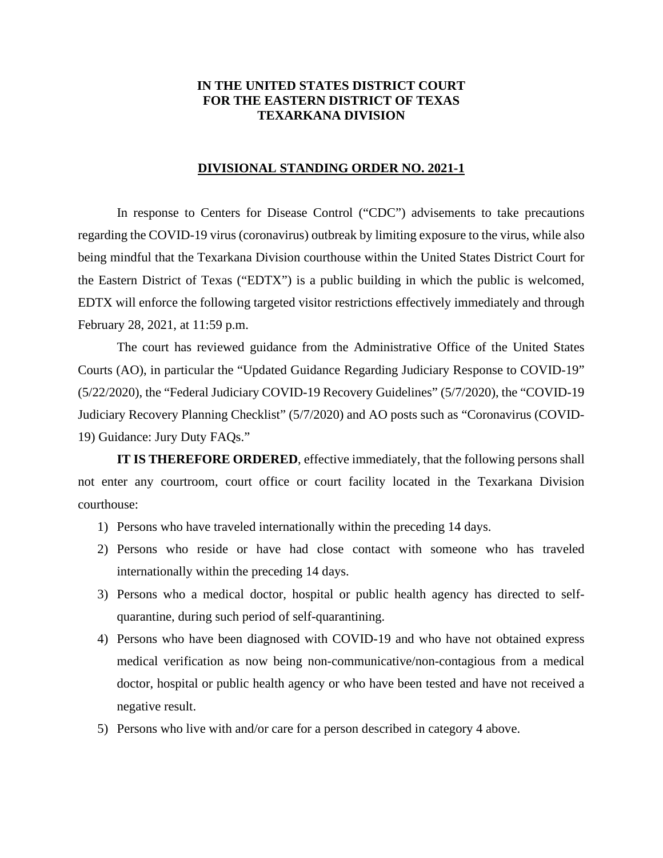## **IN THE UNITED STATES DISTRICT COURT FOR THE EASTERN DISTRICT OF TEXAS TEXARKANA DIVISION**

## **DIVISIONAL STANDING ORDER NO. 2021-1**

In response to Centers for Disease Control ("CDC") advisements to take precautions regarding the COVID-19 virus (coronavirus) outbreak by limiting exposure to the virus, while also being mindful that the Texarkana Division courthouse within the United States District Court for the Eastern District of Texas ("EDTX") is a public building in which the public is welcomed, EDTX will enforce the following targeted visitor restrictions effectively immediately and through February 28, 2021, at 11:59 p.m.

The court has reviewed guidance from the Administrative Office of the United States Courts (AO), in particular the "Updated Guidance Regarding Judiciary Response to COVID-19" (5/22/2020), the "Federal Judiciary COVID-19 Recovery Guidelines" (5/7/2020), the "COVID-19 Judiciary Recovery Planning Checklist" (5/7/2020) and AO posts such as "Coronavirus (COVID-19) Guidance: Jury Duty FAQs."

**IT IS THEREFORE ORDERED**, effective immediately, that the following persons shall not enter any courtroom, court office or court facility located in the Texarkana Division courthouse:

- 1) Persons who have traveled internationally within the preceding 14 days.
- 2) Persons who reside or have had close contact with someone who has traveled internationally within the preceding 14 days.
- 3) Persons who a medical doctor, hospital or public health agency has directed to selfquarantine, during such period of self-quarantining.
- 4) Persons who have been diagnosed with COVID-19 and who have not obtained express medical verification as now being non-communicative/non-contagious from a medical doctor, hospital or public health agency or who have been tested and have not received a negative result.
- 5) Persons who live with and/or care for a person described in category 4 above.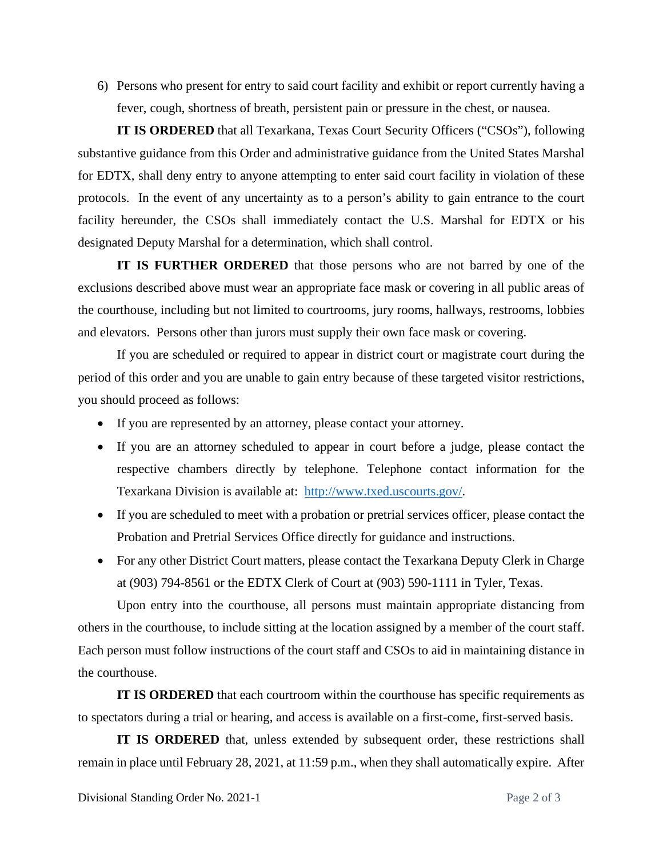6) Persons who present for entry to said court facility and exhibit or report currently having a fever, cough, shortness of breath, persistent pain or pressure in the chest, or nausea.

**IT IS ORDERED** that all Texarkana, Texas Court Security Officers ("CSOs"), following substantive guidance from this Order and administrative guidance from the United States Marshal for EDTX, shall deny entry to anyone attempting to enter said court facility in violation of these protocols. In the event of any uncertainty as to a person's ability to gain entrance to the court facility hereunder, the CSOs shall immediately contact the U.S. Marshal for EDTX or his designated Deputy Marshal for a determination, which shall control.

**IT IS FURTHER ORDERED** that those persons who are not barred by one of the exclusions described above must wear an appropriate face mask or covering in all public areas of the courthouse, including but not limited to courtrooms, jury rooms, hallways, restrooms, lobbies and elevators. Persons other than jurors must supply their own face mask or covering.

If you are scheduled or required to appear in district court or magistrate court during the period of this order and you are unable to gain entry because of these targeted visitor restrictions, you should proceed as follows:

- If you are represented by an attorney, please contact your attorney.
- If you are an attorney scheduled to appear in court before a judge, please contact the respective chambers directly by telephone. Telephone contact information for the Texarkana Division is available at: http://www.txed.uscourts.gov/.
- If you are scheduled to meet with a probation or pretrial services officer, please contact the Probation and Pretrial Services Office directly for guidance and instructions.
- For any other District Court matters, please contact the Texarkana Deputy Clerk in Charge at (903) 794-8561 or the EDTX Clerk of Court at (903) 590-1111 in Tyler, Texas.

Upon entry into the courthouse, all persons must maintain appropriate distancing from others in the courthouse, to include sitting at the location assigned by a member of the court staff. Each person must follow instructions of the court staff and CSOs to aid in maintaining distance in the courthouse.

**IT IS ORDERED** that each courtroom within the courthouse has specific requirements as to spectators during a trial or hearing, and access is available on a first-come, first-served basis.

**IT IS ORDERED** that, unless extended by subsequent order, these restrictions shall remain in place until February 28, 2021, at 11:59 p.m., when they shall automatically expire. After